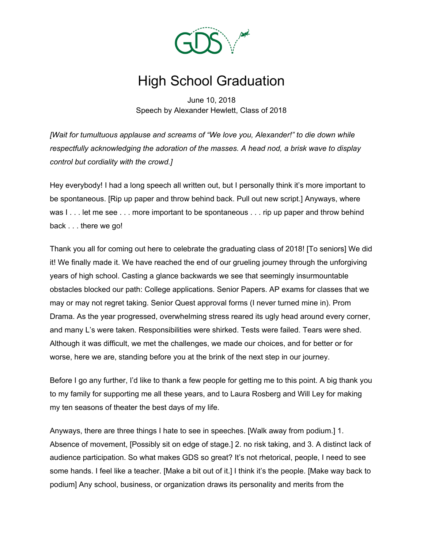

## High School Graduation

June 10, 2018 Speech by Alexander Hewlett, Class of 2018

*[Wait for tumultuous applause and screams of "We love you, Alexander!" to die down while respectfully acknowledging the adoration of the masses. A head nod, a brisk wave to display control but cordiality with the crowd.]*

Hey everybody! I had a long speech all written out, but I personally think it's more important to be spontaneous. [Rip up paper and throw behind back. Pull out new script.] Anyways, where was I . . . let me see . . . more important to be spontaneous . . . rip up paper and throw behind back . . . there we go!

Thank you all for coming out here to celebrate the graduating class of 2018! [To seniors] We did it! We finally made it. We have reached the end of our grueling journey through the unforgiving years of high school. Casting a glance backwards we see that seemingly insurmountable obstacles blocked our path: College applications. Senior Papers. AP exams for classes that we may or may not regret taking. Senior Quest approval forms (I never turned mine in). Prom Drama. As the year progressed, overwhelming stress reared its ugly head around every corner, and many L's were taken. Responsibilities were shirked. Tests were failed. Tears were shed. Although it was difficult, we met the challenges, we made our choices, and for better or for worse, here we are, standing before you at the brink of the next step in our journey.

Before I go any further, I'd like to thank a few people for getting me to this point. A big thank you to my family for supporting me all these years, and to Laura Rosberg and Will Ley for making my ten seasons of theater the best days of my life.

Anyways, there are three things I hate to see in speeches. [Walk away from podium.] 1. Absence of movement, [Possibly sit on edge of stage.] 2. no risk taking, and 3. A distinct lack of audience participation. So what makes GDS so great? It's not rhetorical, people, I need to see some hands. I feel like a teacher. [Make a bit out of it.] I think it's the people. [Make way back to podium] Any school, business, or organization draws its personality and merits from the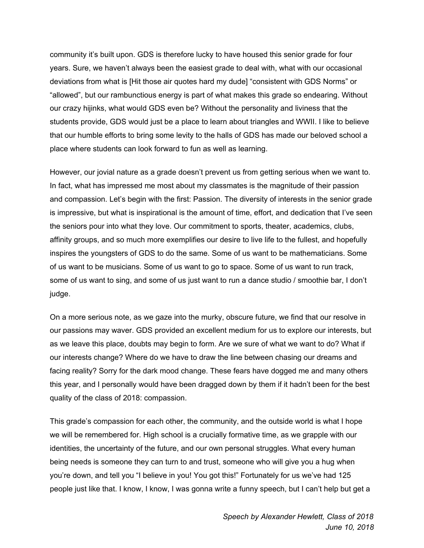community it's built upon. GDS is therefore lucky to have housed this senior grade for four years. Sure, we haven't always been the easiest grade to deal with, what with our occasional deviations from what is [Hit those air quotes hard my dude] "consistent with GDS Norms" or "allowed", but our rambunctious energy is part of what makes this grade so endearing. Without our crazy hijinks, what would GDS even be? Without the personality and liviness that the students provide, GDS would just be a place to learn about triangles and WWII. I like to believe that our humble efforts to bring some levity to the halls of GDS has made our beloved school a place where students can look forward to fun as well as learning.

However, our jovial nature as a grade doesn't prevent us from getting serious when we want to. In fact, what has impressed me most about my classmates is the magnitude of their passion and compassion. Let's begin with the first: Passion. The diversity of interests in the senior grade is impressive, but what is inspirational is the amount of time, effort, and dedication that I've seen the seniors pour into what they love. Our commitment to sports, theater, academics, clubs, affinity groups, and so much more exemplifies our desire to live life to the fullest, and hopefully inspires the youngsters of GDS to do the same. Some of us want to be mathematicians. Some of us want to be musicians. Some of us want to go to space. Some of us want to run track, some of us want to sing, and some of us just want to run a dance studio / smoothie bar, I don't judge.

On a more serious note, as we gaze into the murky, obscure future, we find that our resolve in our passions may waver. GDS provided an excellent medium for us to explore our interests, but as we leave this place, doubts may begin to form. Are we sure of what we want to do? What if our interests change? Where do we have to draw the line between chasing our dreams and facing reality? Sorry for the dark mood change. These fears have dogged me and many others this year, and I personally would have been dragged down by them if it hadn't been for the best quality of the class of 2018: compassion.

This grade's compassion for each other, the community, and the outside world is what I hope we will be remembered for. High school is a crucially formative time, as we grapple with our identities, the uncertainty of the future, and our own personal struggles. What every human being needs is someone they can turn to and trust, someone who will give you a hug when you're down, and tell you "I believe in you! You got this!" Fortunately for us we've had 125 people just like that. I know, I know, I was gonna write a funny speech, but I can't help but get a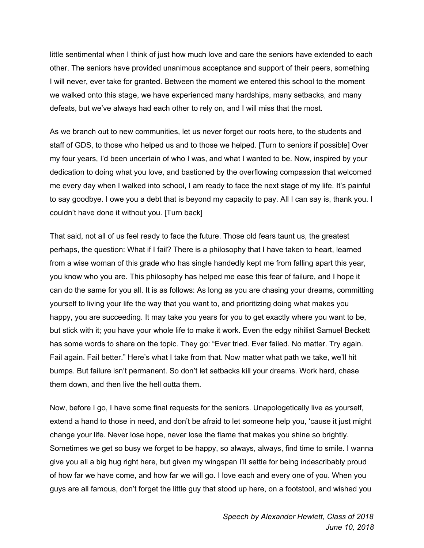little sentimental when I think of just how much love and care the seniors have extended to each other. The seniors have provided unanimous acceptance and support of their peers, something I will never, ever take for granted. Between the moment we entered this school to the moment we walked onto this stage, we have experienced many hardships, many setbacks, and many defeats, but we've always had each other to rely on, and I will miss that the most.

As we branch out to new communities, let us never forget our roots here, to the students and staff of GDS, to those who helped us and to those we helped. [Turn to seniors if possible] Over my four years, I'd been uncertain of who I was, and what I wanted to be. Now, inspired by your dedication to doing what you love, and bastioned by the overflowing compassion that welcomed me every day when I walked into school, I am ready to face the next stage of my life. It's painful to say goodbye. I owe you a debt that is beyond my capacity to pay. All I can say is, thank you. I couldn't have done it without you. [Turn back]

That said, not all of us feel ready to face the future. Those old fears taunt us, the greatest perhaps, the question: What if I fail? There is a philosophy that I have taken to heart, learned from a wise woman of this grade who has single handedly kept me from falling apart this year, you know who you are. This philosophy has helped me ease this fear of failure, and I hope it can do the same for you all. It is as follows: As long as you are chasing your dreams, committing yourself to living your life the way that you want to, and prioritizing doing what makes you happy, you are succeeding. It may take you years for you to get exactly where you want to be, but stick with it; you have your whole life to make it work. Even the edgy nihilist Samuel Beckett has some words to share on the topic. They go: "Ever tried. Ever failed. No matter. Try again. Fail again. Fail better." Here's what I take from that. Now matter what path we take, we'll hit bumps. But failure isn't permanent. So don't let setbacks kill your dreams. Work hard, chase them down, and then live the hell outta them.

Now, before I go, I have some final requests for the seniors. Unapologetically live as yourself, extend a hand to those in need, and don't be afraid to let someone help you, 'cause it just might change your life. Never lose hope, never lose the flame that makes you shine so brightly. Sometimes we get so busy we forget to be happy, so always, always, find time to smile. I wanna give you all a big hug right here, but given my wingspan I'll settle for being indescribably proud of how far we have come, and how far we will go. I love each and every one of you. When you guys are all famous, don't forget the little guy that stood up here, on a footstool, and wished you